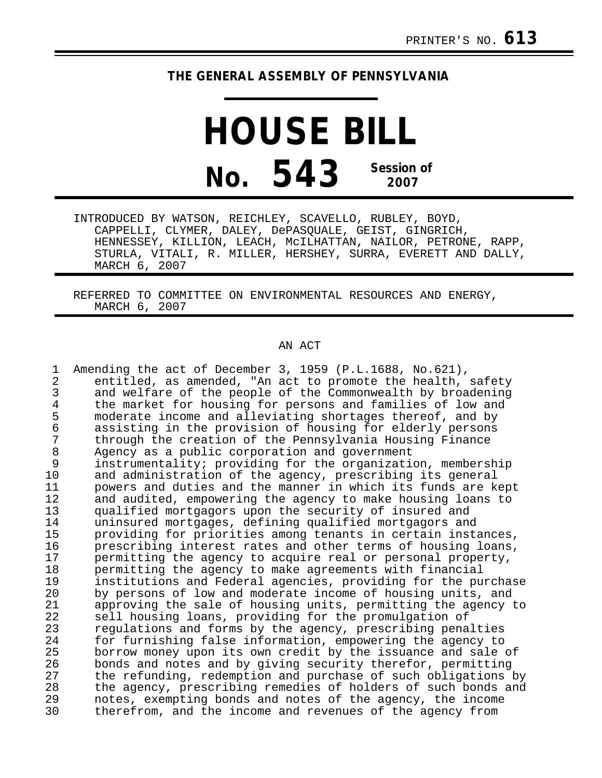## **THE GENERAL ASSEMBLY OF PENNSYLVANIA**

**HOUSE BILL No. 543 Session of 2007**

INTRODUCED BY WATSON, REICHLEY, SCAVELLO, RUBLEY, BOYD, CAPPELLI, CLYMER, DALEY, DePASQUALE, GEIST, GINGRICH, HENNESSEY, KILLION, LEACH, McILHATTAN, NAILOR, PETRONE, RAPP, STURLA, VITALI, R. MILLER, HERSHEY, SURRA, EVERETT AND DALLY, MARCH 6, 2007

REFERRED TO COMMITTEE ON ENVIRONMENTAL RESOURCES AND ENERGY, MARCH 6, 2007

## AN ACT

| 1              | Amending the act of December 3, 1959 (P.L.1688, No.621),      |
|----------------|---------------------------------------------------------------|
| $\overline{2}$ | entitled, as amended, "An act to promote the health, safety   |
| 3              | and welfare of the people of the Commonwealth by broadening   |
| 4              | the market for housing for persons and families of low and    |
| 5              | moderate income and alleviating shortages thereof, and by     |
| 6              | assisting in the provision of housing for elderly persons     |
| 7              | through the creation of the Pennsylvania Housing Finance      |
| 8              | Agency as a public corporation and government                 |
| 9              | instrumentality; providing for the organization, membership   |
| 10             | and administration of the agency, prescribing its general     |
| 11             | powers and duties and the manner in which its funds are kept  |
| 12             | and audited, empowering the agency to make housing loans to   |
| 13             | qualified mortgagors upon the security of insured and         |
| 14             | uninsured mortgages, defining qualified mortgagors and        |
| 15             | providing for priorities among tenants in certain instances,  |
| 16             | prescribing interest rates and other terms of housing loans,  |
| 17             | permitting the agency to acquire real or personal property,   |
| 18             | permitting the agency to make agreements with financial       |
| 19             | institutions and Federal agencies, providing for the purchase |
| 20             | by persons of low and moderate income of housing units, and   |
| 21             | approving the sale of housing units, permitting the agency to |
| 22             | sell housing loans, providing for the promulgation of         |
| 23             | regulations and forms by the agency, prescribing penalties    |
| 24             | for furnishing false information, empowering the agency to    |
| 25             | borrow money upon its own credit by the issuance and sale of  |
| 26             | bonds and notes and by giving security therefor, permitting   |
| 27             | the refunding, redemption and purchase of such obligations by |
| 28             | the agency, prescribing remedies of holders of such bonds and |
| 29<br>30       | notes, exempting bonds and notes of the agency, the income    |
|                | therefrom, and the income and revenues of the agency from     |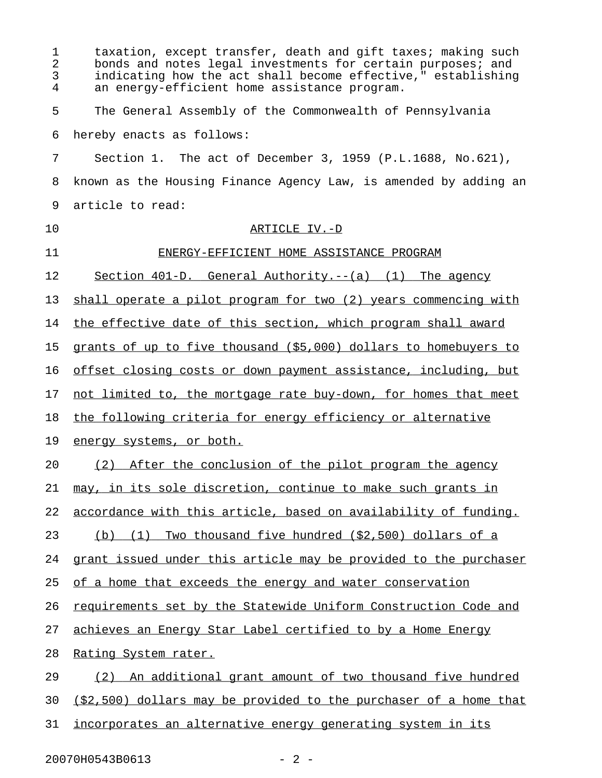| 1<br>2<br>3<br>4 | taxation, except transfer, death and gift taxes; making such<br>bonds and notes legal investments for certain purposes; and<br>indicating how the act shall become effective," establishing<br>an energy-efficient home assistance program. |
|------------------|---------------------------------------------------------------------------------------------------------------------------------------------------------------------------------------------------------------------------------------------|
| 5                | The General Assembly of the Commonwealth of Pennsylvania                                                                                                                                                                                    |
| 6                | hereby enacts as follows:                                                                                                                                                                                                                   |
| 7                | Section 1. The act of December 3, 1959 (P.L.1688, No.621),                                                                                                                                                                                  |
| 8                | known as the Housing Finance Agency Law, is amended by adding an                                                                                                                                                                            |
| 9                | article to read:                                                                                                                                                                                                                            |
| 10               | ARTICLE IV.-D                                                                                                                                                                                                                               |
| 11               | ENERGY-EFFICIENT HOME ASSISTANCE PROGRAM                                                                                                                                                                                                    |
| 12               | Section 401-D. General Authority.--(a) (1) The agency                                                                                                                                                                                       |
| 13               | shall operate a pilot program for two (2) years commencing with                                                                                                                                                                             |
| 14               | the effective date of this section, which program shall award                                                                                                                                                                               |
| 15               | grants of up to five thousand (\$5,000) dollars to homebuyers to                                                                                                                                                                            |
| 16               | offset closing costs or down payment assistance, including, but                                                                                                                                                                             |
| 17               | not limited to, the mortgage rate buy-down, for homes that meet                                                                                                                                                                             |
| 18               | the following criteria for energy efficiency or alternative                                                                                                                                                                                 |
| 19               | energy systems, or both.                                                                                                                                                                                                                    |
| 20               | (2) After the conclusion of the pilot program the agency                                                                                                                                                                                    |
| 21               | may, in its sole discretion, continue to make such grants in                                                                                                                                                                                |
| 22               | accordance with this article, based on availability of funding.                                                                                                                                                                             |
| 23               | Two thousand five hundred (\$2,500) dollars of a<br>(b)<br>(1)                                                                                                                                                                              |
| 24               | grant issued under this article may be provided to the purchaser                                                                                                                                                                            |
| 25               | of a home that exceeds the energy and water conservation                                                                                                                                                                                    |
| 26               | requirements set by the Statewide Uniform Construction Code and                                                                                                                                                                             |
| 27               | achieves an Energy Star Label certified to by a Home Energy                                                                                                                                                                                 |
| 28               | <u>Rating System rater.</u>                                                                                                                                                                                                                 |
| 29               | An additional grant amount of two thousand five hundred<br>(2)                                                                                                                                                                              |
| 30               | (\$2,500) dollars may be provided to the purchaser of a home that                                                                                                                                                                           |
| 31               | incorporates an alternative energy generating system in its                                                                                                                                                                                 |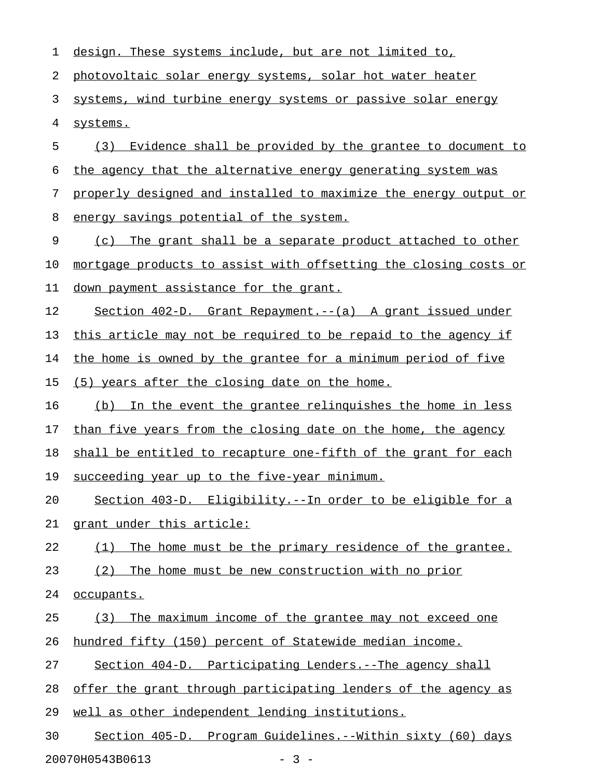| 1  | <u>design. These systems include, but are not limited to,</u>    |
|----|------------------------------------------------------------------|
| 2  | photovoltaic solar energy systems, solar hot water heater        |
| 3  | systems, wind turbine energy systems or passive solar energy     |
| 4  | systems.                                                         |
| 5  | (3) Evidence shall be provided by the grantee to document to     |
| 6  | the agency that the alternative energy generating system was     |
| 7  | properly designed and installed to maximize the energy output or |
| 8  | energy savings potential of the system.                          |
| 9  | The grant shall be a separate product attached to other<br>(C)   |
| 10 | mortgage products to assist with offsetting the closing costs or |
| 11 | down payment assistance for the grant.                           |
| 12 | Section 402-D. Grant Repayment.--(a) A grant issued under        |
| 13 | this article may not be required to be repaid to the agency if   |
| 14 | the home is owned by the grantee for a minimum period of five    |
| 15 | (5) years after the closing date on the home.                    |
| 16 | In the event the grantee relinguishes the home in less<br>(b)    |
| 17 | than five years from the closing date on the home, the agency    |
| 18 | shall be entitled to recapture one-fifth of the grant for each   |
| 19 | succeeding year up to the five-year minimum.                     |
| 20 | Section 403-D. Eligibility.--In order to be eligible for a       |
| 21 | grant under this article:                                        |
| 22 | The home must be the primary residence of the grantee.<br>(1)    |
| 23 | The home must be new construction with no prior<br>(2)           |
| 24 | occupants.                                                       |
| 25 | The maximum income of the grantee may not exceed one<br>(3)      |
| 26 | hundred fifty (150) percent of Statewide median income.          |
| 27 | Section 404-D. Participating Lenders.--The agency shall          |
| 28 | offer the grant through participating lenders of the agency as   |
| 29 | well as other independent lending institutions.                  |
| 30 | Section 405-D. Program Guidelines.--Within sixty (60) days       |
|    | 20070H0543B0613<br>$-3 -$                                        |